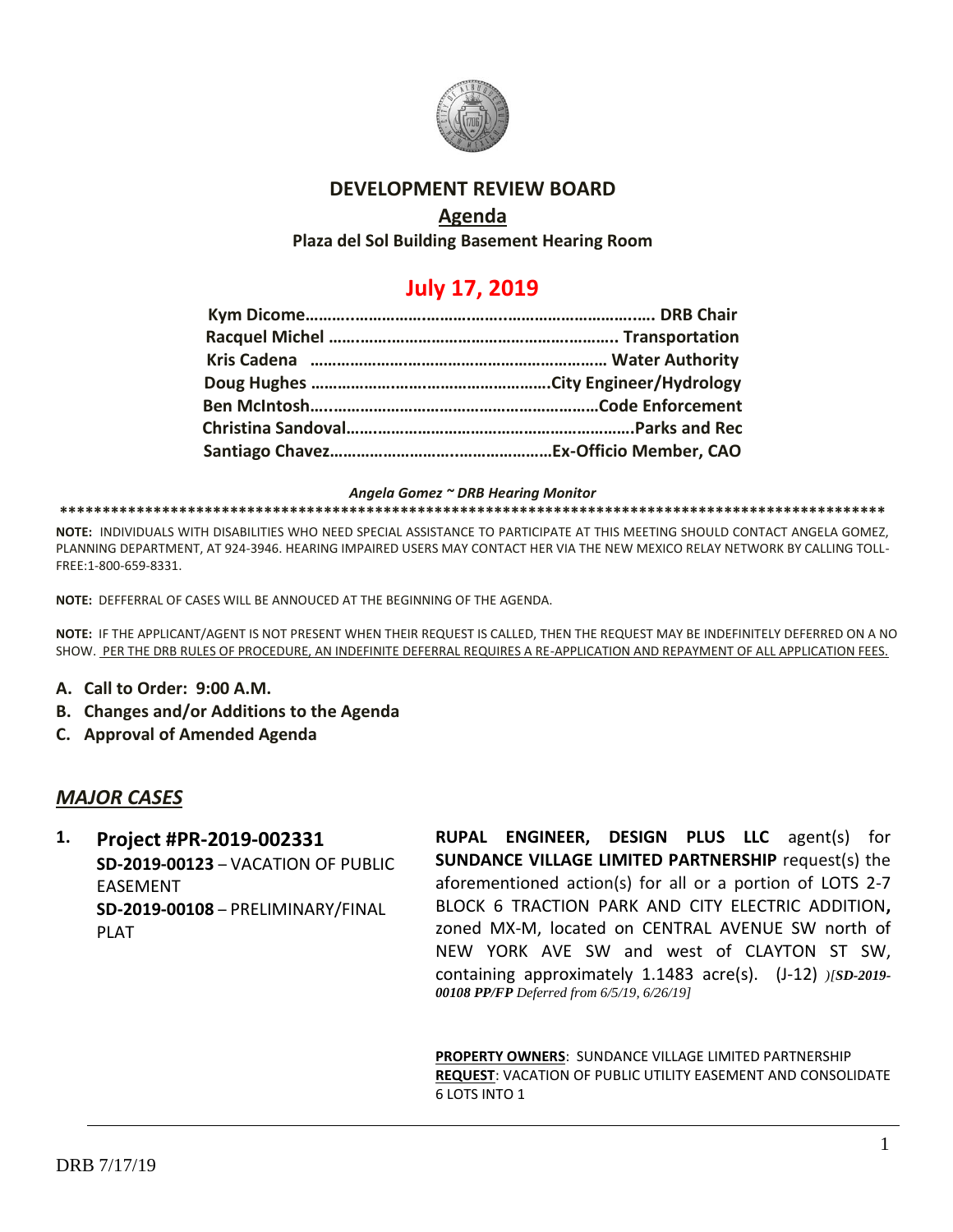

#### **DEVELOPMENT REVIEW BOARD**

#### **Agenda**

**Plaza del Sol Building Basement Hearing Room**

# **July 17, 2019**

*Angela Gomez ~ DRB Hearing Monitor*

**\*\*\*\*\*\*\*\*\*\*\*\*\*\*\*\*\*\*\*\*\*\*\*\*\*\*\*\*\*\*\*\*\*\*\*\*\*\*\*\*\*\*\*\*\*\*\*\*\*\*\*\*\*\*\*\*\*\*\*\*\*\*\*\*\*\*\*\*\*\*\*\*\*\*\*\*\*\*\*\*\*\*\*\*\*\*\*\*\*\*\*\*\*\*\*\*\***

**NOTE:** INDIVIDUALS WITH DISABILITIES WHO NEED SPECIAL ASSISTANCE TO PARTICIPATE AT THIS MEETING SHOULD CONTACT ANGELA GOMEZ, PLANNING DEPARTMENT, AT 924-3946. HEARING IMPAIRED USERS MAY CONTACT HER VIA THE NEW MEXICO RELAY NETWORK BY CALLING TOLL-FREE:1-800-659-8331.

**NOTE:** DEFFERRAL OF CASES WILL BE ANNOUCED AT THE BEGINNING OF THE AGENDA.

**NOTE:** IF THE APPLICANT/AGENT IS NOT PRESENT WHEN THEIR REQUEST IS CALLED, THEN THE REQUEST MAY BE INDEFINITELY DEFERRED ON A NO SHOW. PER THE DRB RULES OF PROCEDURE, AN INDEFINITE DEFERRAL REQUIRES A RE-APPLICATION AND REPAYMENT OF ALL APPLICATION FEES.

- **A. Call to Order: 9:00 A.M.**
- **B. Changes and/or Additions to the Agenda**
- **C. Approval of Amended Agenda**

#### *MAJOR CASES*

**1. Project #PR-2019-002331 SD-2019-00123** – VACATION OF PUBLIC EASEMENT **SD-2019-00108** – PRELIMINARY/FINAL PLAT

**RUPAL ENGINEER, DESIGN PLUS LLC** agent(s) for **SUNDANCE VILLAGE LIMITED PARTNERSHIP** request(s) the aforementioned action(s) for all or a portion of LOTS 2-7 BLOCK 6 TRACTION PARK AND CITY ELECTRIC ADDITION**,**  zoned MX-M, located on CENTRAL AVENUE SW north of NEW YORK AVE SW and west of CLAYTON ST SW, containing approximately 1.1483 acre(s). (J-12) *)[SD-2019- 00108 PP/FP Deferred from 6/5/19, 6/26/19]*

**PROPERTY OWNERS**: SUNDANCE VILLAGE LIMITED PARTNERSHIP **REQUEST**: VACATION OF PUBLIC UTILITY EASEMENT AND CONSOLIDATE 6 LOTS INTO 1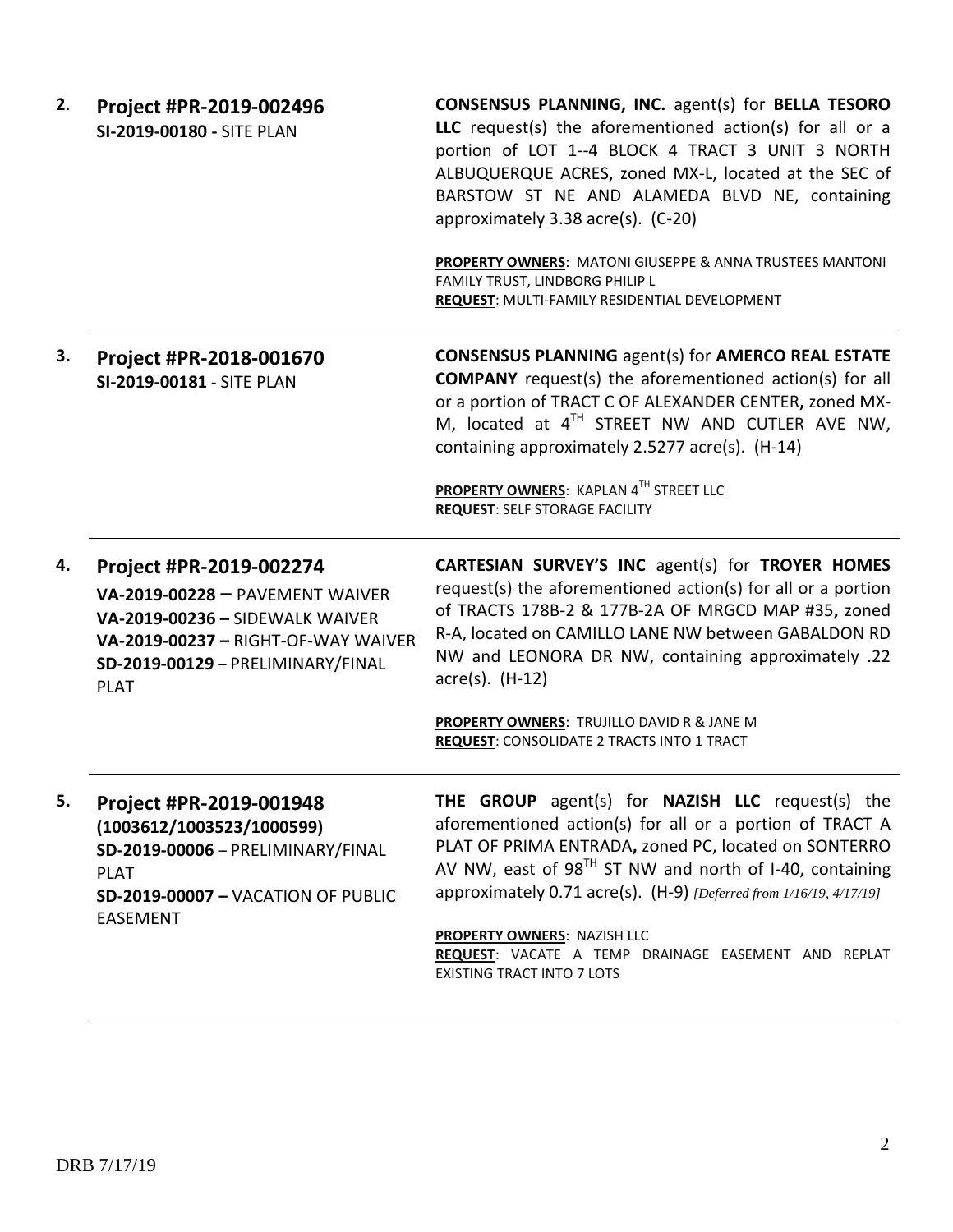| 2. | Project #PR-2019-002496<br>SI-2019-00180 - SITE PLAN                                                                                                                                     | <b>CONSENSUS PLANNING, INC. agent(s) for BELLA TESORO</b><br>LLC request(s) the aforementioned action(s) for all or a<br>portion of LOT 1--4 BLOCK 4 TRACT 3 UNIT 3 NORTH<br>ALBUQUERQUE ACRES, zoned MX-L, located at the SEC of<br>BARSTOW ST NE AND ALAMEDA BLVD NE, containing<br>approximately 3.38 acre(s). (C-20)<br>PROPERTY OWNERS: MATONI GIUSEPPE & ANNA TRUSTEES MANTONI              |
|----|------------------------------------------------------------------------------------------------------------------------------------------------------------------------------------------|---------------------------------------------------------------------------------------------------------------------------------------------------------------------------------------------------------------------------------------------------------------------------------------------------------------------------------------------------------------------------------------------------|
|    |                                                                                                                                                                                          | FAMILY TRUST, LINDBORG PHILIP L<br>REQUEST: MULTI-FAMILY RESIDENTIAL DEVELOPMENT                                                                                                                                                                                                                                                                                                                  |
| 3. | Project #PR-2018-001670<br>SI-2019-00181 - SITE PLAN                                                                                                                                     | <b>CONSENSUS PLANNING agent(s) for AMERCO REAL ESTATE</b><br><b>COMPANY</b> request(s) the aforementioned action(s) for all<br>or a portion of TRACT C OF ALEXANDER CENTER, zoned MX-<br>M, located at 4 <sup>TH</sup> STREET NW AND CUTLER AVE NW,<br>containing approximately 2.5277 acre(s). (H-14)                                                                                            |
|    |                                                                                                                                                                                          | PROPERTY OWNERS: KAPLAN 4TH STREET LLC<br><b>REQUEST: SELF STORAGE FACILITY</b>                                                                                                                                                                                                                                                                                                                   |
|    |                                                                                                                                                                                          |                                                                                                                                                                                                                                                                                                                                                                                                   |
| 4. | Project #PR-2019-002274<br>VA-2019-00228 - PAVEMENT WAIVER<br>VA-2019-00236 - SIDEWALK WAIVER<br>VA-2019-00237 - RIGHT-OF-WAY WAIVER<br>SD-2019-00129 - PRELIMINARY/FINAL<br><b>PLAT</b> | <b>CARTESIAN SURVEY'S INC agent(s) for TROYER HOMES</b><br>request(s) the aforementioned action(s) for all or a portion<br>of TRACTS 178B-2 & 177B-2A OF MRGCD MAP #35, zoned<br>R-A, located on CAMILLO LANE NW between GABALDON RD<br>NW and LEONORA DR NW, containing approximately .22<br>$\arccos(5)$ . (H-12)                                                                               |
|    |                                                                                                                                                                                          | PROPERTY OWNERS: TRUJILLO DAVID R & JANE M<br>REQUEST: CONSOLIDATE 2 TRACTS INTO 1 TRACT                                                                                                                                                                                                                                                                                                          |
| 5. | Project #PR-2019-001948<br>(1003612/1003523/1000599)<br>SD-2019-00006 - PRELIMINARY/FINAL<br><b>PLAT</b><br><b>SD-2019-00007 - VACATION OF PUBLIC</b><br><b>EASEMENT</b>                 | THE GROUP agent(s) for NAZISH LLC request(s) the<br>aforementioned action(s) for all or a portion of TRACT A<br>PLAT OF PRIMA ENTRADA, zoned PC, located on SONTERRO<br>AV NW, east of 98 $^{TH}$ ST NW and north of I-40, containing<br>approximately 0.71 acre(s). (H-9) [Deferred from 1/16/19, 4/17/19]<br>PROPERTY OWNERS: NAZISH LLC<br>REQUEST: VACATE A TEMP DRAINAGE EASEMENT AND REPLAT |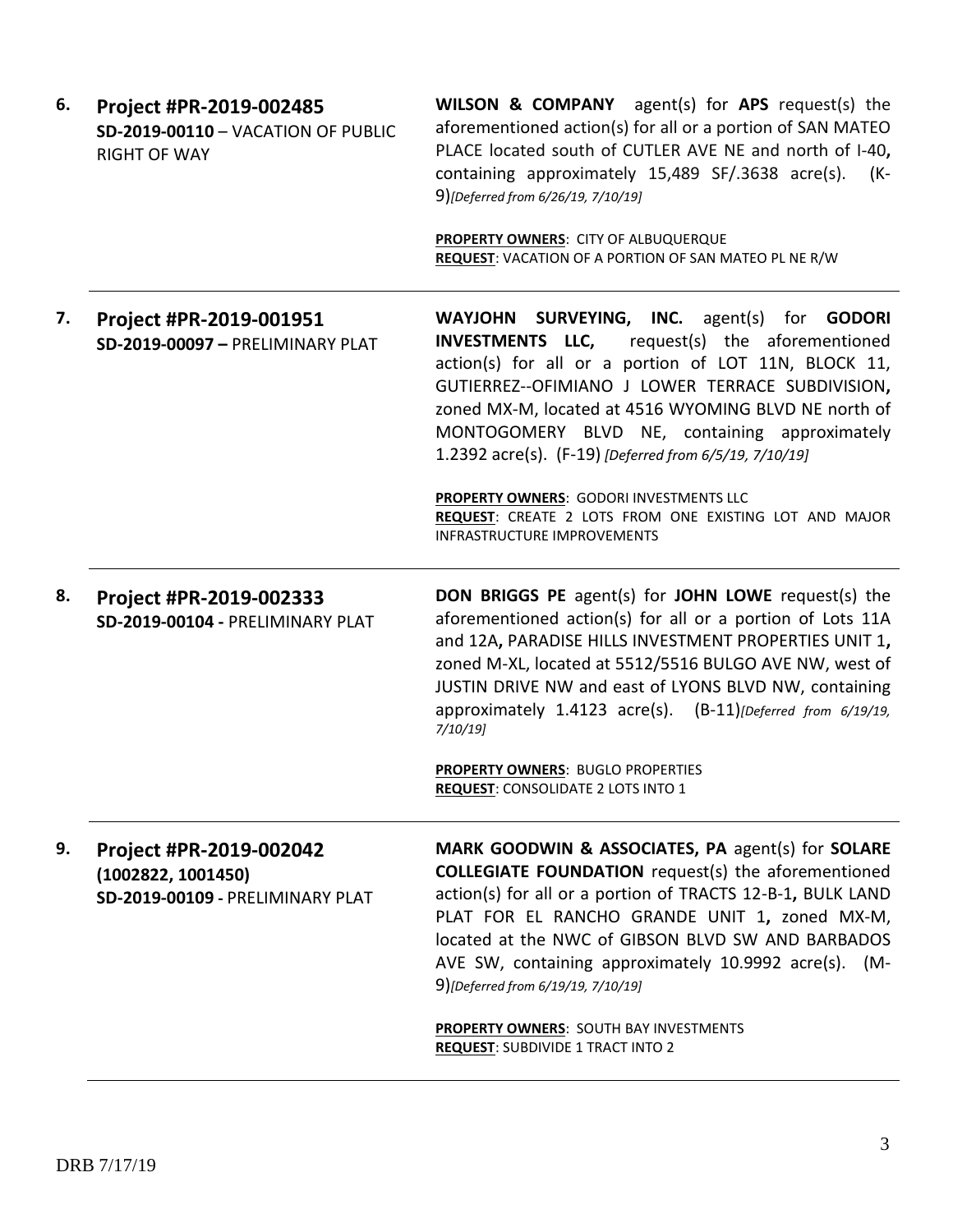| 6. | Project #PR-2019-002485<br>SD-2019-00110 - VACATION OF PUBLIC<br><b>RIGHT OF WAY</b> | <b>WILSON &amp; COMPANY</b> agent(s) for APS request(s) the<br>aforementioned action(s) for all or a portion of SAN MATEO<br>PLACE located south of CUTLER AVE NE and north of I-40,<br>containing approximately 15,489 SF/.3638 acre(s).<br>(K-<br>9)[Deferred from 6/26/19, 7/10/19]<br>PROPERTY OWNERS: CITY OF ALBUQUERQUE                                                         |
|----|--------------------------------------------------------------------------------------|----------------------------------------------------------------------------------------------------------------------------------------------------------------------------------------------------------------------------------------------------------------------------------------------------------------------------------------------------------------------------------------|
|    |                                                                                      | <b>REQUEST:</b> VACATION OF A PORTION OF SAN MATEO PL NE R/W                                                                                                                                                                                                                                                                                                                           |
| 7. | Project #PR-2019-001951<br>SD-2019-00097 - PRELIMINARY PLAT                          | WAYJOHN SURVEYING, INC. agent(s) for GODORI<br><b>INVESTMENTS LLC,</b><br>request(s) the aforementioned<br>action(s) for all or a portion of LOT 11N, BLOCK 11,<br>GUTIERREZ--OFIMIANO J LOWER TERRACE SUBDIVISION,<br>zoned MX-M, located at 4516 WYOMING BLVD NE north of<br>MONTOGOMERY BLVD NE, containing approximately<br>1.2392 acre(s). (F-19) [Deferred from 6/5/19, 7/10/19] |
|    |                                                                                      | PROPERTY OWNERS: GODORI INVESTMENTS LLC<br>REQUEST: CREATE 2 LOTS FROM ONE EXISTING LOT AND MAJOR<br><b>INFRASTRUCTURE IMPROVEMENTS</b>                                                                                                                                                                                                                                                |
| 8. | Project #PR-2019-002333<br>SD-2019-00104 - PRELIMINARY PLAT                          | <b>DON BRIGGS PE</b> agent(s) for JOHN LOWE request(s) the<br>aforementioned action(s) for all or a portion of Lots 11A<br>and 12A, PARADISE HILLS INVESTMENT PROPERTIES UNIT 1,<br>zoned M-XL, located at 5512/5516 BULGO AVE NW, west of<br>JUSTIN DRIVE NW and east of LYONS BLVD NW, containing                                                                                    |
|    |                                                                                      | approximately 1.4123 acre(s). (B-11)[Deferred from 6/19/19,<br>$7/10/19$ ]                                                                                                                                                                                                                                                                                                             |
|    |                                                                                      | <b>PROPERTY OWNERS: BUGLO PROPERTIES</b><br><b>REQUEST: CONSOLIDATE 2 LOTS INTO 1</b>                                                                                                                                                                                                                                                                                                  |
| 9. | Project #PR-2019-002042<br>(1002822, 1001450)<br>SD-2019-00109 - PRELIMINARY PLAT    | MARK GOODWIN & ASSOCIATES, PA agent(s) for SOLARE<br><b>COLLEGIATE FOUNDATION</b> request(s) the aforementioned<br>action(s) for all or a portion of TRACTS 12-B-1, BULK LAND<br>PLAT FOR EL RANCHO GRANDE UNIT 1, zoned MX-M,<br>located at the NWC of GIBSON BLVD SW AND BARBADOS<br>AVE SW, containing approximately 10.9992 acre(s). (M-<br>9)[Deferred from 6/19/19, 7/10/19]     |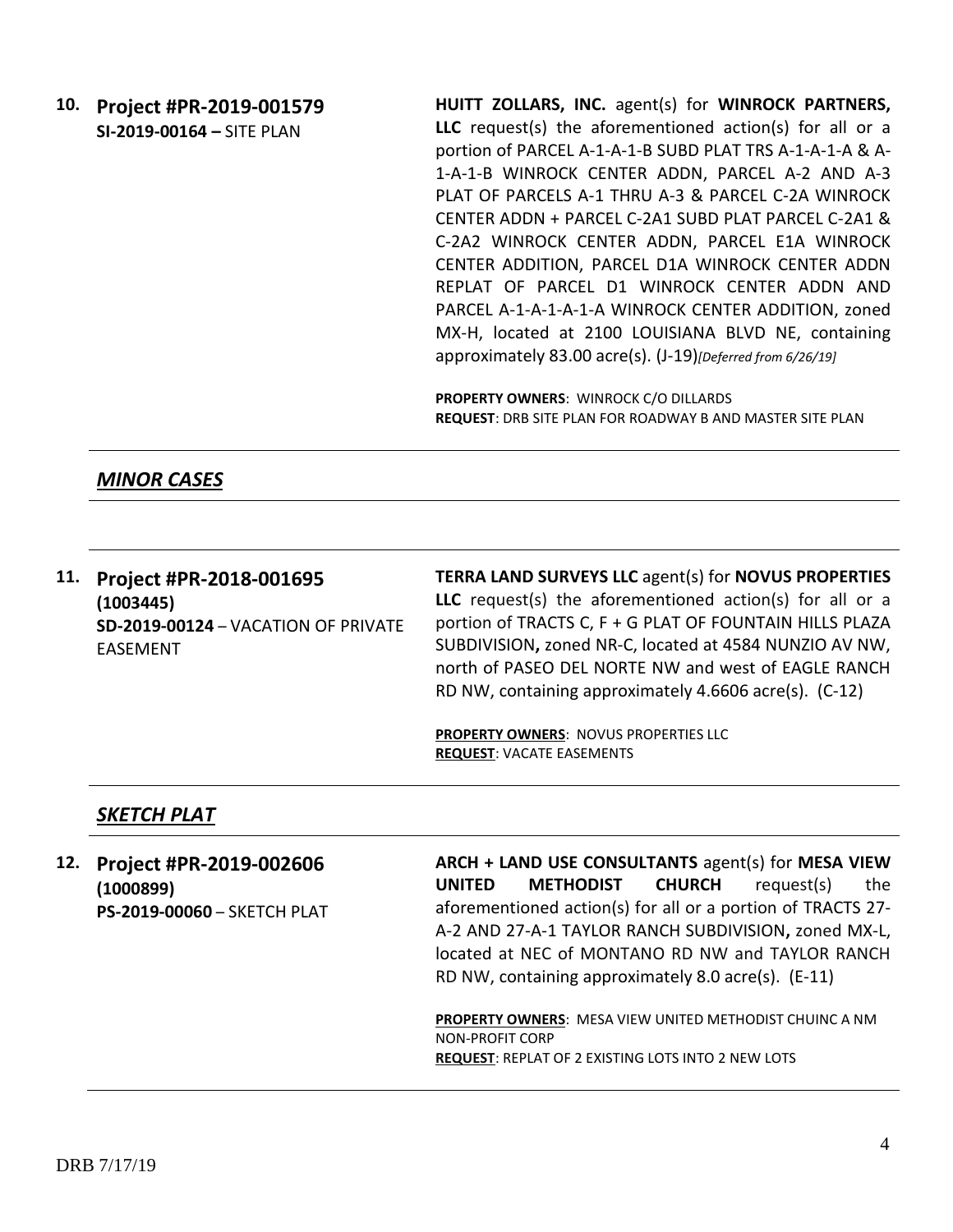**10. Project #PR-2019-001579 SI-2019-00164 –** SITE PLAN **HUITT ZOLLARS, INC.** agent(s) for **WINROCK PARTNERS, LLC** request(s) the aforementioned action(s) for all or a portion of PARCEL A-1-A-1-B SUBD PLAT TRS A-1-A-1-A & A-1-A-1-B WINROCK CENTER ADDN, PARCEL A-2 AND A-3 PLAT OF PARCELS A-1 THRU A-3 & PARCEL C-2A WINROCK CENTER ADDN + PARCEL C-2A1 SUBD PLAT PARCEL C-2A1 & C-2A2 WINROCK CENTER ADDN, PARCEL E1A WINROCK CENTER ADDITION, PARCEL D1A WINROCK CENTER ADDN REPLAT OF PARCEL D1 WINROCK CENTER ADDN AND PARCEL A-1-A-1-A-1-A WINROCK CENTER ADDITION, zoned MX-H, located at 2100 LOUISIANA BLVD NE, containing approximately 83.00 acre(s). (J-19)*[Deferred from 6/26/19]*

> **PROPERTY OWNERS**: WINROCK C/O DILLARDS **REQUEST**: DRB SITE PLAN FOR ROADWAY B AND MASTER SITE PLAN

*MINOR CASES*

**11. Project #PR-2018-001695 (1003445) SD-2019-00124** – VACATION OF PRIVATE EASEMENT

**TERRA LAND SURVEYS LLC** agent(s) for **NOVUS PROPERTIES LLC** request(s) the aforementioned action(s) for all or a portion of TRACTS C, F + G PLAT OF FOUNTAIN HILLS PLAZA SUBDIVISION**,** zoned NR-C, located at 4584 NUNZIO AV NW, north of PASEO DEL NORTE NW and west of EAGLE RANCH RD NW, containing approximately 4.6606 acre(s). (C-12)

**PROPERTY OWNERS**: NOVUS PROPERTIES LLC **REQUEST**: VACATE EASEMENTS

#### *SKETCH PLAT*

**12. Project #PR-2019-002606 (1000899) PS-2019-00060** – SKETCH PLAT **ARCH + LAND USE CONSULTANTS** agent(s) for **MESA VIEW UNITED METHODIST CHURCH** request(s) the aforementioned action(s) for all or a portion of TRACTS 27- A-2 AND 27-A-1 TAYLOR RANCH SUBDIVISION**,** zoned MX-L, located at NEC of MONTANO RD NW and TAYLOR RANCH RD NW, containing approximately 8.0 acre(s). (E-11)

**PROPERTY OWNERS**: MESA VIEW UNITED METHODIST CHUINC A NM NON-PROFIT CORP **REQUEST**: REPLAT OF 2 EXISTING LOTS INTO 2 NEW LOTS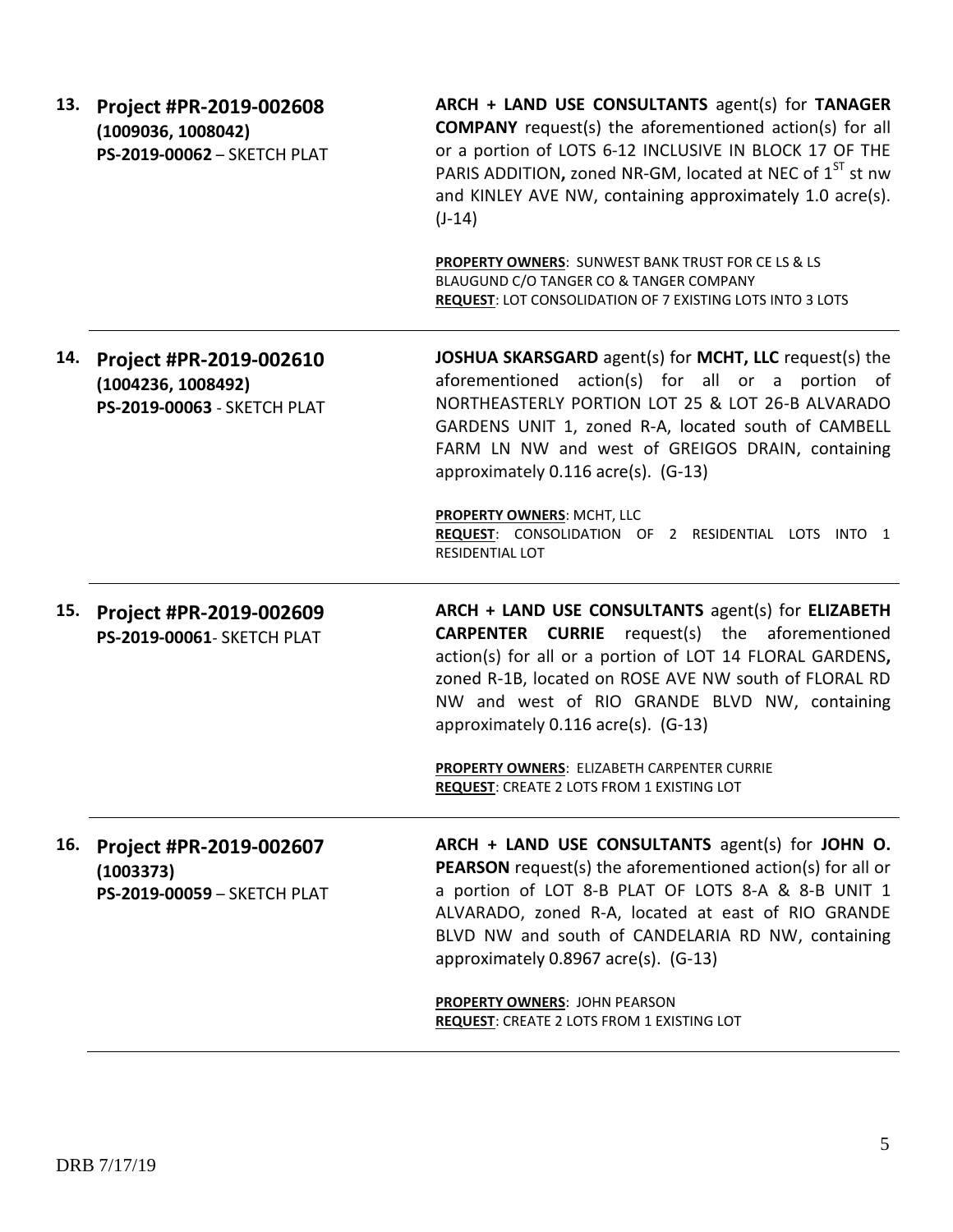| 13. | Project #PR-2019-002608<br>(1009036, 1008042)<br>PS-2019-00062 - SKETCH PLAT | ARCH + LAND USE CONSULTANTS agent(s) for TANAGER<br><b>COMPANY</b> request(s) the aforementioned action(s) for all<br>or a portion of LOTS 6-12 INCLUSIVE IN BLOCK 17 OF THE<br>PARIS ADDITION, zoned NR-GM, located at NEC of 1 <sup>ST</sup> st nw<br>and KINLEY AVE NW, containing approximately 1.0 acre(s).<br>$(J-14)$   |
|-----|------------------------------------------------------------------------------|--------------------------------------------------------------------------------------------------------------------------------------------------------------------------------------------------------------------------------------------------------------------------------------------------------------------------------|
|     |                                                                              | PROPERTY OWNERS: SUNWEST BANK TRUST FOR CE LS & LS<br>BLAUGUND C/O TANGER CO & TANGER COMPANY<br>REQUEST: LOT CONSOLIDATION OF 7 EXISTING LOTS INTO 3 LOTS                                                                                                                                                                     |
| 14. | Project #PR-2019-002610<br>(1004236, 1008492)<br>PS-2019-00063 - SKETCH PLAT | JOSHUA SKARSGARD agent(s) for MCHT, LLC request(s) the<br>aforementioned action(s) for all or a portion of<br>NORTHEASTERLY PORTION LOT 25 & LOT 26-B ALVARADO<br>GARDENS UNIT 1, zoned R-A, located south of CAMBELL<br>FARM LN NW and west of GREIGOS DRAIN, containing<br>approximately 0.116 acre(s). (G-13)               |
|     |                                                                              | PROPERTY OWNERS: MCHT, LLC<br>REQUEST: CONSOLIDATION OF 2 RESIDENTIAL LOTS INTO 1<br>RESIDENTIAL LOT                                                                                                                                                                                                                           |
| 15. | Project #PR-2019-002609<br>PS-2019-00061- SKETCH PLAT                        | ARCH + LAND USE CONSULTANTS agent(s) for ELIZABETH<br><b>CARPENTER CURRIE</b> request(s) the aforementioned<br>action(s) for all or a portion of LOT 14 FLORAL GARDENS,<br>zoned R-1B, located on ROSE AVE NW south of FLORAL RD<br>NW and west of RIO GRANDE BLVD NW, containing<br>approximately 0.116 acre(s). (G-13)       |
|     |                                                                              | PROPERTY OWNERS: ELIZABETH CARPENTER CURRIE<br><b>REQUEST:</b> CREATE 2 LOTS FROM 1 EXISTING LOT                                                                                                                                                                                                                               |
| 16. | Project #PR-2019-002607<br>(1003373)<br>PS-2019-00059 - SKETCH PLAT          | ARCH + LAND USE CONSULTANTS agent(s) for JOHN O.<br><b>PEARSON</b> request(s) the aforementioned action(s) for all or<br>a portion of LOT 8-B PLAT OF LOTS 8-A & 8-B UNIT 1<br>ALVARADO, zoned R-A, located at east of RIO GRANDE<br>BLVD NW and south of CANDELARIA RD NW, containing<br>approximately 0.8967 acre(s). (G-13) |
|     |                                                                              | PROPERTY OWNERS: JOHN PEARSON<br><b>REQUEST: CREATE 2 LOTS FROM 1 EXISTING LOT</b>                                                                                                                                                                                                                                             |